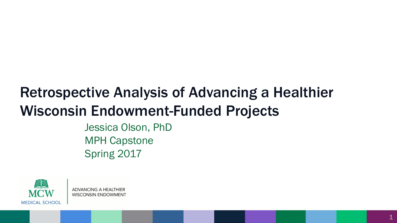## Retrospective Analysis of Advancing a Healthier Wisconsin Endowment-Funded Projects

Jessica Olson, PhD MPH Capstone Spring 2017

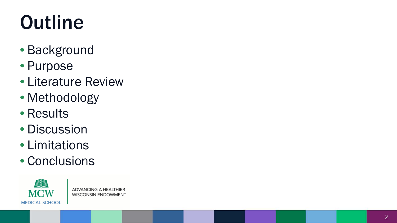# **Outline**

- Background
- Purpose
- Literature Review
- Methodology
- Results
- Discussion
- Limitations
- Conclusions

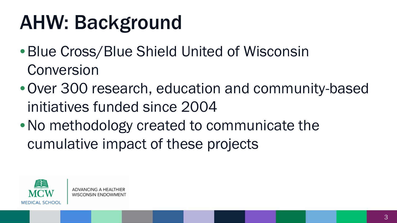# AHW: Background

- •Blue Cross/Blue Shield United of Wisconsin Conversion
- •Over 300 research, education and community-based initiatives funded since 2004
- No methodology created to communicate the cumulative impact of these projects

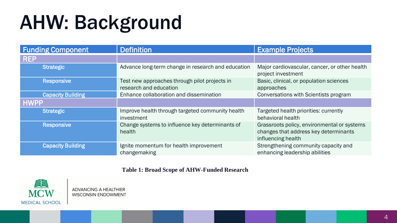# AHW: Background

| <b>Funding Component</b> | <b>Definition</b>                                                       | <b>Example Projects</b>                                                                                    |  |
|--------------------------|-------------------------------------------------------------------------|------------------------------------------------------------------------------------------------------------|--|
| <b>REP</b>               |                                                                         |                                                                                                            |  |
| <b>Strategic</b>         | Advance long-term change in research and education                      | Major cardiovascular, cancer, or other health<br>project investment                                        |  |
| <b>Responsive</b>        | Test new approaches through pilot projects in<br>research and education | Basic, clinical, or population sciences<br>approaches                                                      |  |
| <b>Capacity Building</b> | Enhance collaboration and dissemination                                 | Conversations with Scientists program                                                                      |  |
| <b>HWPP</b>              |                                                                         |                                                                                                            |  |
| <b>Strategic</b>         | Improve health through targeted community health<br>investment          | Targeted health priorities: currently<br>behavioral health                                                 |  |
| <b>Responsive</b>        | Change systems to influence key determinants of<br>health               | Grassroots policy, environmental or systems<br>changes that address key determinants<br>influencing health |  |
| <b>Capacity Building</b> | Ignite momentum for health improvement<br>changemaking                  | Strengthening community capacity and<br>enhancing leadership abilities                                     |  |

#### **Table 1: Broad Scope of AHW-Funded Research**

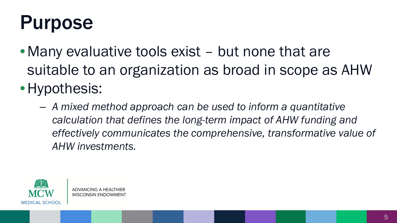# Purpose

- Many evaluative tools exist but none that are suitable to an organization as broad in scope as AHW
- •Hypothesis:
	- *A mixed method approach can be used to inform a quantitative calculation that defines the long-term impact of AHW funding and effectively communicates the comprehensive, transformative value of AHW investments.*

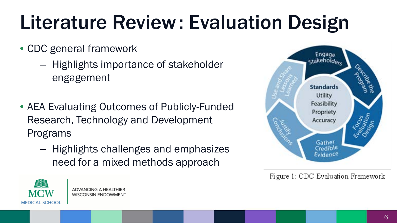# Literature Review: Evaluation Design

- CDC general framework
	- Highlights importance of stakeholder engagement
- AEA Evaluating Outcomes of Publicly-Funded Research, Technology and Development Programs
	- Highlights challenges and emphasizes need for a mixed methods approach



Figure 1: CDC Evaluation Framework

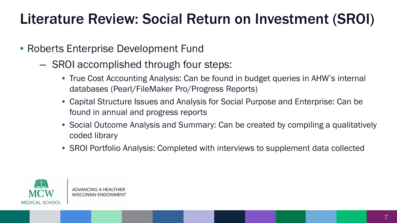### Literature Review: Social Return on Investment (SROI)

- Roberts Enterprise Development Fund
	- SROI accomplished through four steps:
		- True Cost Accounting Analysis: Can be found in budget queries in AHW's internal databases (Pearl/FileMaker Pro/Progress Reports)
		- Capital Structure Issues and Analysis for Social Purpose and Enterprise: Can be found in annual and progress reports
		- Social Outcome Analysis and Summary: Can be created by compiling a qualitatively coded library
		- SROI Portfolio Analysis: Completed with interviews to supplement data collected

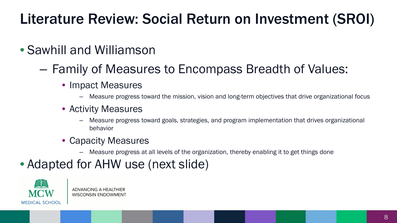## Literature Review: Social Return on Investment (SROI)

### • Sawhill and Williamson

- Family of Measures to Encompass Breadth of Values:
	- Impact Measures
		- Measure progress toward the mission, vision and long-term objectives that drive organizational focus
	- Activity Measures
		- Measure progress toward goals, strategies, and program implementation that drives organizational behavior
	- Capacity Measures
		- Measure progress at all levels of the organization, thereby enabling it to get things done

### • Adapted for AHW use (next slide)

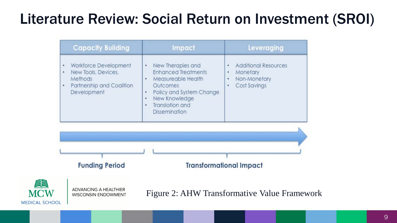### Literature Review: Social Return on Investment (SROI)

|                                     | <b>Capacity Building</b>                                                                            | Impact                                                                                                                                                                                        | Leveraging                                                                                  |
|-------------------------------------|-----------------------------------------------------------------------------------------------------|-----------------------------------------------------------------------------------------------------------------------------------------------------------------------------------------------|---------------------------------------------------------------------------------------------|
| ٠<br>٠<br>٠                         | Workforce Development<br>New Tools, Devices,<br>Methods<br>Partnership and Coalition<br>Development | New Therapies and<br>٠<br><b>Enhanced Treatments</b><br>Measureable Health<br>Outcomes<br>Policy and System Change<br>٠<br>New Knowledge<br>٠<br>Translation and<br>۰<br><b>Dissemination</b> | <b>Additional Resources</b><br>٠<br>Monetary<br>٠<br>Non-Monetary<br>٠<br>Cost Savings<br>٠ |
|                                     |                                                                                                     |                                                                                                                                                                                               |                                                                                             |
|                                     |                                                                                                     |                                                                                                                                                                                               |                                                                                             |
|                                     | <b>Funding Period</b>                                                                               |                                                                                                                                                                                               | <b>Transformational Impact</b>                                                              |
| <b>MCW</b><br><b>MEDICAL SCHOOL</b> | <b>ADVANCING A HEALTHIER</b><br><b>WISCONSIN ENDOWMENT</b>                                          |                                                                                                                                                                                               | Figure 2: AHW Transformative Value Framework                                                |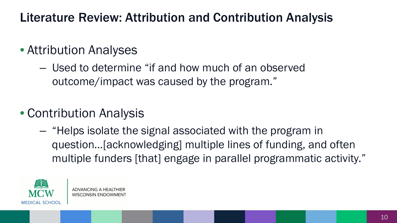### Literature Review: Attribution and Contribution Analysis

#### • Attribution Analyses

- Used to determine "if and how much of an observed outcome/impact was caused by the program."
- Contribution Analysis
	- "Helps isolate the signal associated with the program in question…[acknowledging] multiple lines of funding, and often multiple funders [that] engage in parallel programmatic activity."

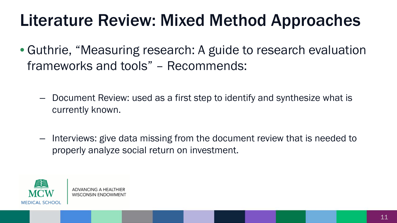# Literature Review: Mixed Method Approaches

- Guthrie, "Measuring research: A guide to research evaluation frameworks and tools" – Recommends:
	- Document Review: used as a first step to identify and synthesize what is currently known.
	- Interviews: give data missing from the document review that is needed to properly analyze social return on investment.

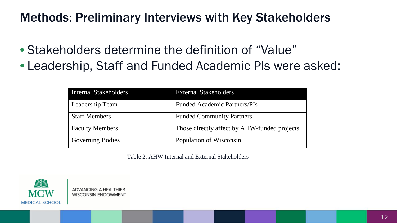#### Methods: Preliminary Interviews with Key Stakeholders

- Stakeholders determine the definition of "Value"
- Leadership, Staff and Funded Academic PIs were asked:

| <b>Internal Stakeholders</b> | <b>External Stakeholders</b>                 |
|------------------------------|----------------------------------------------|
| Leadership Team              | <b>Funded Academic Partners/PIs</b>          |
| <b>Staff Members</b>         | <b>Funded Community Partners</b>             |
| <b>Faculty Members</b>       | Those directly affect by AHW-funded projects |
| <b>Governing Bodies</b>      | Population of Wisconsin                      |

Table 2: AHW Internal and External Stakeholders

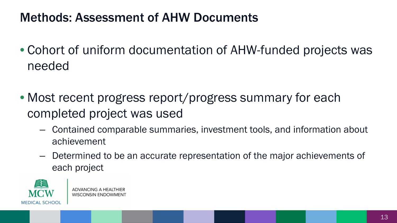### Methods: Assessment of AHW Documents

- Cohort of uniform documentation of AHW-funded projects was needed
- Most recent progress report/progress summary for each completed project was used
	- Contained comparable summaries, investment tools, and information about achievement
	- Determined to be an accurate representation of the major achievements of each project

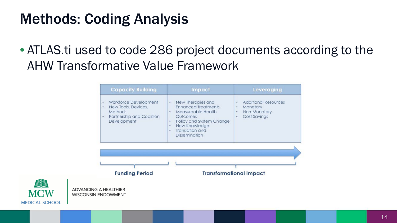### Methods: Coding Analysis

**MEDICAL SCHOO** 

• ATLAS.ti used to code 286 project documents according to the AHW Transformative Value Framework

| Workforce Development<br>New Therapies and<br>٠<br>٠<br>٠<br><b>Enhanced Treatments</b><br>New Tools, Devices,<br>Monetary<br>٠<br>٠<br>Methods<br>Measureable Health<br>$\bullet$ :<br>٠<br>Partnership and Coalition<br><b>Outcomes</b><br>٠<br>٠<br>Development<br>Policy and System Change<br>٠<br>New Knowledge<br>٠<br>Translation and<br>۰<br><b>Dissemination</b> | <b>Additional Resources</b><br>Non-Monetary<br>Cost Savings |
|---------------------------------------------------------------------------------------------------------------------------------------------------------------------------------------------------------------------------------------------------------------------------------------------------------------------------------------------------------------------------|-------------------------------------------------------------|
|                                                                                                                                                                                                                                                                                                                                                                           |                                                             |
|                                                                                                                                                                                                                                                                                                                                                                           |                                                             |
|                                                                                                                                                                                                                                                                                                                                                                           |                                                             |
| <b>Funding Period</b><br><b>Transformational Impact</b>                                                                                                                                                                                                                                                                                                                   |                                                             |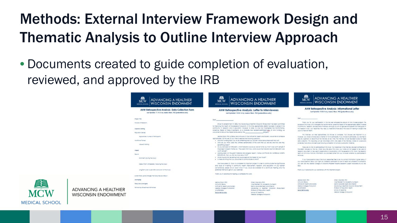## Methods: External Interview Framework Design and Thematic Analysis to Outline Interview Approach

• Documents created to guide completion of evaluation, reviewed, and approved by the IRB

| MCW<br><b>ADVANCING A HEALTHIER</b><br><b>WISCONSIN ENDOWMENT</b><br>MEDICAL SCHOOL                               | 農業<br><b>MCW</b><br>MEDICAL SCHOOL                                                                                                                                                                                                  | <b>ADVANCING A HEALTHIER</b><br><b>WISCONSIN ENDOWMENT</b>                                                                                                                                                                                                                                                                                                                                                                                                                                                                   | Aa<br><b>MCW</b><br>MEDICAL SCHOOL                                                                                                                                                                                                                                                                                                           | <b>ADVANCING A HEALTHIER</b><br><b>WISCONSIN ENDOWMENT</b>                                                                                                                                                                                                                                                                            |  |  |
|-------------------------------------------------------------------------------------------------------------------|-------------------------------------------------------------------------------------------------------------------------------------------------------------------------------------------------------------------------------------|------------------------------------------------------------------------------------------------------------------------------------------------------------------------------------------------------------------------------------------------------------------------------------------------------------------------------------------------------------------------------------------------------------------------------------------------------------------------------------------------------------------------------|----------------------------------------------------------------------------------------------------------------------------------------------------------------------------------------------------------------------------------------------------------------------------------------------------------------------------------------------|---------------------------------------------------------------------------------------------------------------------------------------------------------------------------------------------------------------------------------------------------------------------------------------------------------------------------------------|--|--|
| AHW Retrospective Analysis: Data Collection Form<br>lost lipotated: 11.10.14 by Jessica Okon, 7h0 Geokontimowads3 |                                                                                                                                                                                                                                     | AHW Refrospective Analysis: Letter to Interviewees<br>Last Updated: 10.05.16 by Jessico Obon. PhD (jeobon@mcw.edu)                                                                                                                                                                                                                                                                                                                                                                                                           | AHW Refrospective Analysis: Informational Lefter<br>Lost Updated: 10.06.16 by Jessica Obon, FAD (jeckon@now.edu)                                                                                                                                                                                                                             |                                                                                                                                                                                                                                                                                                                                       |  |  |
| Power file                                                                                                        | Dear the company of the company                                                                                                                                                                                                     |                                                                                                                                                                                                                                                                                                                                                                                                                                                                                                                              | $0 + \sigma$                                                                                                                                                                                                                                                                                                                                 |                                                                                                                                                                                                                                                                                                                                       |  |  |
| <b>Ringisse of Easegnan</b>                                                                                       |                                                                                                                                                                                                                                     | Since its establishment in 2004, the Advancing a healthler Waggnals Engovernment has peen committed.                                                                                                                                                                                                                                                                                                                                                                                                                         |                                                                                                                                                                                                                                                                                                                                              | That's you for your participation in the ferry-ear refracted/ine anarcia of Arch funded projects. The<br>purpose of this study is to investigate the haraformative, conective impact of the approximately \$200M invested                                                                                                             |  |  |
| Casachy suleing                                                                                                   |                                                                                                                                                                                                                                     | to improving the nearty of the people of syspanin, in this time, poproximately \$2000 has been invested in the<br>community. In research, and in equaction, However, to gate, no one has investigated me inansformative.<br>colactive impact of mase inverments. As a lindicate role recipient/participant/and of Arcs funding use                                                                                                                                                                                           | in community, research, and equication initiatives, Armough you will not get personal penetit from taking part in<br>this research study, your responses may neigh us understand more about the youse of investing in projects like<br>yours to improve nearm.                                                                               |                                                                                                                                                                                                                                                                                                                                       |  |  |
| <b>Population Served</b>                                                                                          | would like to docust the impact produced by the contract of the longest.                                                                                                                                                            |                                                                                                                                                                                                                                                                                                                                                                                                                                                                                                                              |                                                                                                                                                                                                                                                                                                                                              |                                                                                                                                                                                                                                                                                                                                       |  |  |
| Approximize is under of horizonans                                                                                | Jessico Cobr. Pr.D. a felow and instructor in the institute for mealth and basien; would like to schedule<br>approximately 30 minutes of your firms to explore the following questions:                                             |                                                                                                                                                                                                                                                                                                                                                                                                                                                                                                                              | this intenders will take approximately 30 minutes to complete. Your answers are important to us:<br>however, you hove a choice about whether or not to participate. If you choose to participate, you are free to<br>skip any questions or disconfinue the interview at any time. The interview will be recorded to allow for rapid          |                                                                                                                                                                                                                                                                                                                                       |  |  |
| standaree horest.                                                                                                 |                                                                                                                                                                                                                                     | . Cia Akii funding didia you to as sometring that you couldn't have gone coveries? How so?                                                                                                                                                                                                                                                                                                                                                                                                                                   |                                                                                                                                                                                                                                                                                                                                              | agro collection. This recording will be indirational within one week of the interview, stored on a password                                                                                                                                                                                                                           |  |  |
| vause of ridning                                                                                                  | benefiting toget?                                                                                                                                                                                                                   | . Who do you mink were the universe panaficialist of the work that you did one maintain are they                                                                                                                                                                                                                                                                                                                                                                                                                             |                                                                                                                                                                                                                                                                                                                                              | protected nard after and decribyed following competion of scholarly publication materials.                                                                                                                                                                                                                                            |  |  |
| IMBOUT                                                                                                            | . As you jook back on (REQUECT), what indicators would you look at to tell you that it was worth abing? If<br>the project is recent frome as - "five years from now, what would me indicators be mar (REO.807) was<br>worm goings") |                                                                                                                                                                                                                                                                                                                                                                                                                                                                                                                              | There are no rists to participating in this truck. Your responses in the interview are searc confidential to<br>the extent did-yed by the lost, titlen we will a door this study, your nome will not oppear or be used on<br>research documents or be used in presentations or outsidations, stillt the expection of Dr. Capit, the research |                                                                                                                                                                                                                                                                                                                                       |  |  |
| <b>Casum</b>                                                                                                      |                                                                                                                                                                                                                                     | . LOOKING BODE ON the gront materials and progress report, I notice (ANYTHING ON MATERIALS WIDER-<br>Fich huster who has been new really concerned to the<br>. What inquire he takes and anyone blues to the whole section as well takes to the<br>. It mere on unit on axis to exist the to communicate to with P<br>We have gated Dr. Oson to complete this important project in order to communicate the conficionals<br>and vaux of investing in community nearm improvement, research, and equipation. At your earliest |                                                                                                                                                                                                                                                                                                                                              | team all not enow that any information you provided came from you not even amenter you participated in<br><b>WA DUBA</b>                                                                                                                                                                                                              |  |  |
| Inoniem (buring the study)                                                                                        |                                                                                                                                                                                                                                     |                                                                                                                                                                                                                                                                                                                                                                                                                                                                                                                              |                                                                                                                                                                                                                                                                                                                                              | If you have questions about the study precedites free to ask, my contact information is given becau. If<br>you have questions about your rights as a research participant or want to report any problems or complaints.<br>you can oas ma hiadoo Colaga of Illioontin/Roadlam Abiphol Estadrom busiaer Advocate or (212) 255.<br>MAA. |  |  |
| MeduraTerm (mmediatery forgaing the (hydr).                                                                       |                                                                                                                                                                                                                                     |                                                                                                                                                                                                                                                                                                                                                                                                                                                                                                                              |                                                                                                                                                                                                                                                                                                                                              |                                                                                                                                                                                                                                                                                                                                       |  |  |
| Ling-Term (over a year ofter opnious) in of the study)                                                            | preferred method to get on your colendor.                                                                                                                                                                                           | convenience, pieces an Or. Ocon know if you would be qualidate for a dominute meeting, and the                                                                                                                                                                                                                                                                                                                                                                                                                               |                                                                                                                                                                                                                                                                                                                                              | thank you in advance for your assistance with the important project.                                                                                                                                                                                                                                                                  |  |  |
| Instancebox Level Changes that Documed at a Vetum                                                                 | Thank you in advance for neiging us compare this work.                                                                                                                                                                              |                                                                                                                                                                                                                                                                                                                                                                                                                                                                                                                              |                                                                                                                                                                                                                                                                                                                                              |                                                                                                                                                                                                                                                                                                                                       |  |  |
| Lévelophp                                                                                                         |                                                                                                                                                                                                                                     |                                                                                                                                                                                                                                                                                                                                                                                                                                                                                                                              | Jesina Oxen, Ind.                                                                                                                                                                                                                                                                                                                            | Charul Maurona, Inc.                                                                                                                                                                                                                                                                                                                  |  |  |
| Resources serenages                                                                                               | Jerrico Deon, BriD.                                                                                                                                                                                                                 | Cherul Maurona, BhD.                                                                                                                                                                                                                                                                                                                                                                                                                                                                                                         | <b><i>INSTRUCTOR PRODU</i></b><br><b>Joshura for Aadm and England</b>                                                                                                                                                                                                                                                                        | Vice President for Acodemic Outreach<br><b>Lanier Associate Caren and Director</b>                                                                                                                                                                                                                                                    |  |  |
|                                                                                                                   | <b>PITTUCTOS FESCA</b><br>institute for wearm and Society                                                                                                                                                                           | Vice institute for Academic Currench<br>Senior Associate Dean and Director                                                                                                                                                                                                                                                                                                                                                                                                                                                   | Medical College of misconsin                                                                                                                                                                                                                                                                                                                 | Advancing a realthler Waccram Brabement                                                                                                                                                                                                                                                                                               |  |  |
| <b>Autowstize Rhashined Manufactured</b>                                                                          | <b>Marine Colara of Wanners</b>                                                                                                                                                                                                     | Amonded a reprior piccosin incourrent                                                                                                                                                                                                                                                                                                                                                                                                                                                                                        | DOMESTIC: N                                                                                                                                                                                                                                                                                                                                  | <b>Poletor of Roquistion Hearth</b>                                                                                                                                                                                                                                                                                                   |  |  |
|                                                                                                                   | (414) PES-BESE<br>300008701306                                                                                                                                                                                                      | Professor of Population Health<br>school of Medicine                                                                                                                                                                                                                                                                                                                                                                                                                                                                         | ACCORDOANS                                                                                                                                                                                                                                                                                                                                   | school of Medicine<br>Medical College of Wilconsin                                                                                                                                                                                                                                                                                    |  |  |
|                                                                                                                   |                                                                                                                                                                                                                                     | <b>Uages: Colege of Illsconshi</b>                                                                                                                                                                                                                                                                                                                                                                                                                                                                                           |                                                                                                                                                                                                                                                                                                                                              |                                                                                                                                                                                                                                                                                                                                       |  |  |

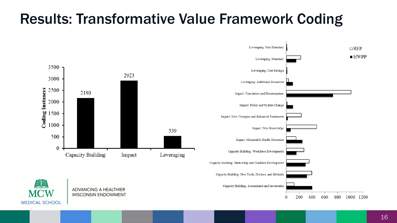### Results: Transformative Value Framework Coding

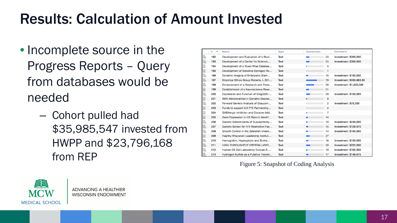### Results: Calculation of Amount Invested

- Incomplete source in the Progress Reports – Query from databases would be needed
	- Cohort pulled had \$35,985,547 invested from HWPP and \$23,796,168 from REP

|   | u<br>۸ | Name                                    | Type | Quotations           | Comment                  |
|---|--------|-----------------------------------------|------|----------------------|--------------------------|
| b | 192    | Development and Evaluation of a Stud    | Text | 23                   | Investment: \$300,000    |
| b | 193    | Development of a Center for Science     | Text | 25                   | Investment: \$360,000    |
| B | 194    | Development of a Voxel-Wise Databas     | Text | 5                    |                          |
| B | 195    | Development of Selective Estrogen Re    | Text | $\mathbf{1}$         |                          |
| b | 196    | Dynamic Imaging of Embryonic Stem       | Text | 15                   | Investment: \$150,000    |
| ħ | 197    | Empirical Ethics Group Roberts, L 201   | Text | 79                   | Investment: \$330,663,56 |
| b | 198    | Enhancement of a Research and Trans     | Text | 58                   | Investment: \$1,000,000  |
| B | 199    | Establishment of a Neuroscience Rese    | Text | 21                   |                          |
| b | 200    | Expression and Function of SmgGDS i     | Text | 28                   | Investment: \$150,000    |
| B | 201    | fMRI Abnormalities in Geriatric Depres  | Text | 8                    |                          |
| b | 202    | Forward Genetic Analysis of Glaucom     | Text | $\overline{2}$       | Investment: \$75,000     |
| b | 203    | Funds to support 0.5 FTE Partnership    | Text | $\overline{2}$       |                          |
| B | 204    | GABAergic Inhibition and Cocaine Add    | Text | $\overline{7}$       |                          |
| b | 205    | Gene Expression in HS Rats to Identif   | Text | 14<br>$\blacksquare$ |                          |
| b | 206    | Genetic Determinants of Susceptibility  | Text | 10                   | Investment: \$249,000    |
| b | 207    | Genetic Screen for HIV Restriction Fac  | Text | 15                   | Investment: \$126.970    |
| b | 208    | Growth Control in the Zebrafish Intesti | Text | 14                   | Investment: \$150,000    |
| b | 209    | Healthy Wisconsin Leadership Institut   | Text | 27                   |                          |
| b | 210    | Hemoglobin, Haptoglobin and Sickle      | Text | 16                   | Investment: \$150,000    |
| b | 211    | HIGH-THROUGHPUT CRYSTALLIZATI           | Text | 30                   | Investment: \$225,000    |
| b | 212    | Human ES Cell Laboratory Duncan, S      | Text | 10                   | Investment: \$162,000    |
| r | 213    | Hydrogen Sulfide as a Putative Transm   | Text | 17                   | Investment: \$148,675    |

Figure 5: Snapshot of Coding Analysis

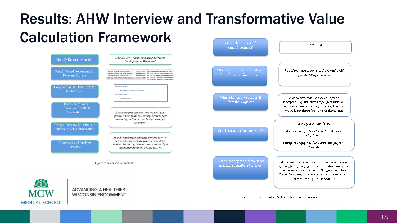#### Results: AHW Interview and Transformative Value Calculation Framework What was the Amount of the



Figure 6: Interview Framework



Figure 7: Transformative Value Calculation Framework

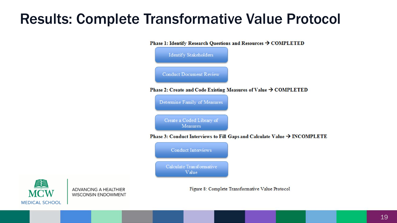### Results: Complete Transformative Value Protocol



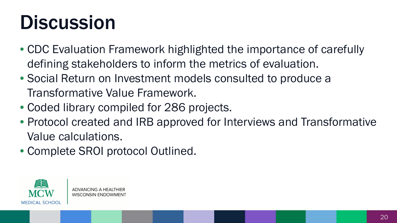# **Discussion**

- CDC Evaluation Framework highlighted the importance of carefully defining stakeholders to inform the metrics of evaluation.
- Social Return on Investment models consulted to produce a Transformative Value Framework.
- Coded library compiled for 286 projects.
- Protocol created and IRB approved for Interviews and Transformative Value calculations.
- Complete SROI protocol Outlined.

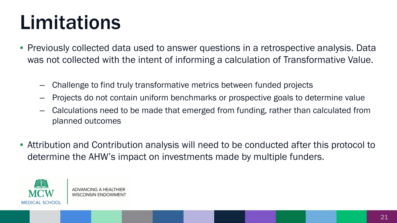# Limitations

- Previously collected data used to answer questions in a retrospective analysis. Data was not collected with the intent of informing a calculation of Transformative Value.
	- Challenge to find truly transformative metrics between funded projects
	- Projects do not contain uniform benchmarks or prospective goals to determine value
	- Calculations need to be made that emerged from funding, rather than calculated from planned outcomes
- Attribution and Contribution analysis will need to be conducted after this protocol to determine the AHW's impact on investments made by multiple funders.

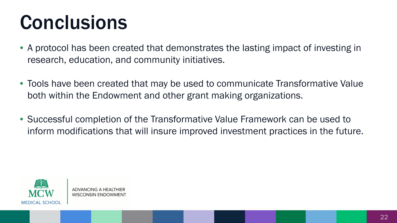# **Conclusions**

- A protocol has been created that demonstrates the lasting impact of investing in research, education, and community initiatives.
- Tools have been created that may be used to communicate Transformative Value both within the Endowment and other grant making organizations.
- Successful completion of the Transformative Value Framework can be used to inform modifications that will insure improved investment practices in the future.